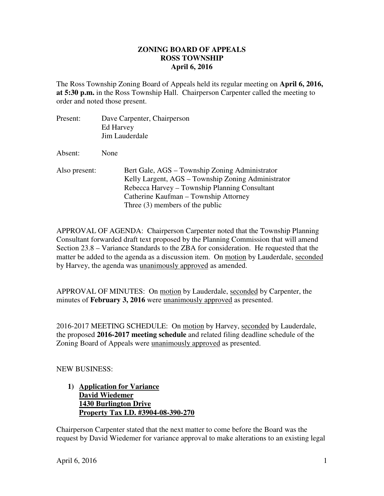#### **ZONING BOARD OF APPEALS April 6, 2016 ROSS TOWNSHIP**

 The Ross Township Zoning Board of Appeals held its regular meeting on **April 6, 2016, at 5:30 p.m.** in the Ross Township Hall. Chairperson Carpenter called the meeting to order and noted those present.

| Present:      | Dave Carpenter, Chairperson<br>Ed Harvey<br>Jim Lauderdale                                                                                                                                                                          |
|---------------|-------------------------------------------------------------------------------------------------------------------------------------------------------------------------------------------------------------------------------------|
| Absent:       | None                                                                                                                                                                                                                                |
| Also present: | Bert Gale, AGS – Township Zoning Administrator<br>Kelly Largent, AGS – Township Zoning Administrator<br>Rebecca Harvey – Township Planning Consultant<br>Catherine Kaufman – Township Attorney<br>Three $(3)$ members of the public |

 APPROVAL OF AGENDA: Chairperson Carpenter noted that the Township Planning Consultant forwarded draft text proposed by the Planning Commission that will amend Section 23.8 – Variance Standards to the ZBA for consideration. He requested that the matter be added to the agenda as a discussion item. On motion by Lauderdale, seconded by Harvey, the agenda was *unanimously approved* as amended.

APPROVAL OF MINUTES: On motion by Lauderdale, seconded by Carpenter, the minutes of **February 3, 2016** were unanimously approved as presented.

2016-2017 MEETING SCHEDULE: On motion by Harvey, seconded by Lauderdale, the proposed **2016-2017 meeting schedule** and related filing deadline schedule of the Zoning Board of Appeals were unanimously approved as presented.

NEW BUSINESS:

1) **Application for Variance David Wiedemer 1430 Burlington Drive Property Tax I.D. #3904-08-390-270** 

 Chairperson Carpenter stated that the next matter to come before the Board was the request by David Wiedemer for variance approval to make alterations to an existing legal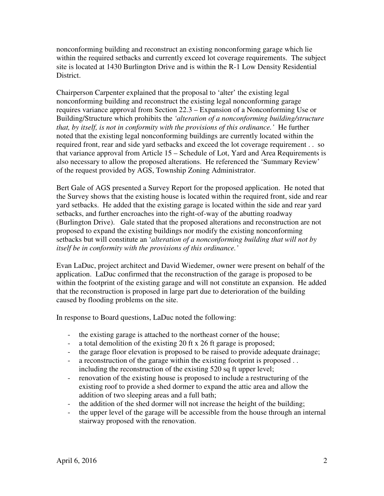nonconforming building and reconstruct an existing nonconforming garage which lie within the required setbacks and currently exceed lot coverage requirements. The subject site is located at 1430 Burlington Drive and is within the R-1 Low Density Residential District.

 Chairperson Carpenter explained that the proposal to 'alter' the existing legal nonconforming building and reconstruct the existing legal nonconforming garage requires variance approval from Section 22.3 – Expansion of a Nonconforming Use or Building/Structure which prohibits the *'alteration of a nonconforming building/structure that, by itself, is not in conformity with the provisions of this ordinance.'* He further noted that the existing legal nonconforming buildings are currently located within the required front, rear and side yard setbacks and exceed the lot coverage requirement . . so that variance approval from Article 15 – Schedule of Lot, Yard and Area Requirements is also necessary to allow the proposed alterations. He referenced the 'Summary Review' of the request provided by AGS, Township Zoning Administrator.

 Bert Gale of AGS presented a Survey Report for the proposed application. He noted that the Survey shows that the existing house is located within the required front, side and rear yard setbacks. He added that the existing garage is located within the side and rear yard setbacks, and further encroaches into the right-of-way of the abutting roadway (Burlington Drive). Gale stated that the proposed alterations and reconstruction are not proposed to expand the existing buildings nor modify the existing nonconforming setbacks but will constitute an '*alteration of a nonconforming building that will not by itself be in conformity with the provisions of this ordinance.'* 

 Evan LaDuc, project architect and David Wiedemer, owner were present on behalf of the application. LaDuc confirmed that the reconstruction of the garage is proposed to be within the footprint of the existing garage and will not constitute an expansion. He added that the reconstruction is proposed in large part due to deterioration of the building caused by flooding problems on the site.

In response to Board questions, LaDuc noted the following:

- the existing garage is attached to the northeast corner of the house;
- a total demolition of the existing 20 ft x 26 ft garage is proposed;
- the garage floor elevation is proposed to be raised to provide adequate drainage;
- a reconstruction of the garage within the existing footprint is proposed . . including the reconstruction of the existing 520 sq ft upper level;
- - renovation of the existing house is proposed to include a restructuring of the existing roof to provide a shed dormer to expand the attic area and allow the addition of two sleeping areas and a full bath;
- the addition of the shed dormer will not increase the height of the building;
- - the upper level of the garage will be accessible from the house through an internal stairway proposed with the renovation.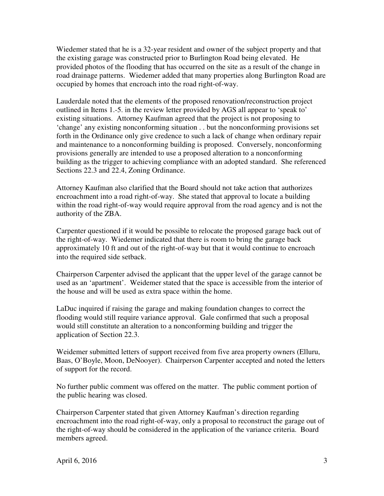Wiedemer stated that he is a 32-year resident and owner of the subject property and that the existing garage was constructed prior to Burlington Road being elevated. He provided photos of the flooding that has occurred on the site as a result of the change in road drainage patterns. Wiedemer added that many properties along Burlington Road are occupied by homes that encroach into the road right-of-way.

 Lauderdale noted that the elements of the proposed renovation/reconstruction project outlined in Items 1.-5. in the review letter provided by AGS all appear to 'speak to' existing situations. Attorney Kaufman agreed that the project is not proposing to 'change' any existing nonconforming situation . . but the nonconforming provisions set forth in the Ordinance only give credence to such a lack of change when ordinary repair and maintenance to a nonconforming building is proposed. Conversely, nonconforming provisions generally are intended to use a proposed alteration to a nonconforming building as the trigger to achieving compliance with an adopted standard. She referenced Sections 22.3 and 22.4, Zoning Ordinance.

 Attorney Kaufman also clarified that the Board should not take action that authorizes encroachment into a road right-of-way. She stated that approval to locate a building within the road right-of-way would require approval from the road agency and is not the authority of the ZBA.

 Carpenter questioned if it would be possible to relocate the proposed garage back out of the right-of-way. Wiedemer indicated that there is room to bring the garage back approximately 10 ft and out of the right-of-way but that it would continue to encroach into the required side setback.

 Chairperson Carpenter advised the applicant that the upper level of the garage cannot be used as an 'apartment'. Weidemer stated that the space is accessible from the interior of the house and will be used as extra space within the home.

 LaDuc inquired if raising the garage and making foundation changes to correct the flooding would still require variance approval. Gale confirmed that such a proposal would still constitute an alteration to a nonconforming building and trigger the application of Section 22.3.

 Weidemer submitted letters of support received from five area property owners (Elluru, Baas, O'Boyle, Moon, DeNooyer). Chairperson Carpenter accepted and noted the letters of support for the record.

 No further public comment was offered on the matter. The public comment portion of the public hearing was closed.

 Chairperson Carpenter stated that given Attorney Kaufman's direction regarding encroachment into the road right-of-way, only a proposal to reconstruct the garage out of the right-of-way should be considered in the application of the variance criteria. Board members agreed.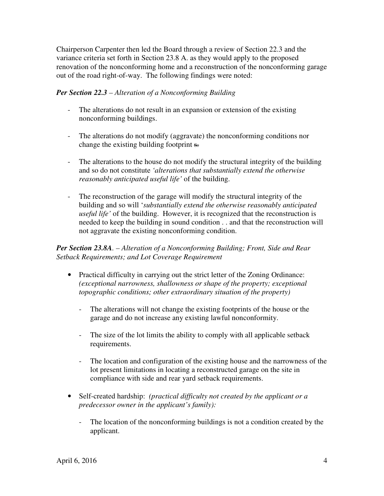Chairperson Carpenter then led the Board through a review of Section 22.3 and the variance criteria set forth in Section 23.8 A. as they would apply to the proposed renovation of the nonconforming home and a reconstruction of the nonconforming garage out of the road right-of-way. The following findings were noted:

## *Per Section 22.3 – Alteration of a Nonconforming Building*

- - The alterations do not result in an expansion or extension of the existing nonconforming buildings.
- - The alterations do not modify (aggravate) the nonconforming conditions nor change the existing building footprint s.
- The alterations to the house do not modify the structural integrity of the building and so do not constitute *'alterations that substantially extend the otherwise reasonably anticipated useful life'* of the building.
- - The reconstruction of the garage will modify the structural integrity of the building and so will '*substantially extend the otherwise reasonably anticipated useful life'* of the building. However, it is recognized that the reconstruction is needed to keep the building in sound condition . . and that the reconstruction will not aggravate the existing nonconforming condition.

 *Per Section 23.8A. – Alteration of a Nonconforming Building; Front, Side and Rear Setback Requirements; and Lot Coverage Requirement* 

- Practical difficulty in carrying out the strict letter of the Zoning Ordinance:  *(exceptional narrowness, shallowness or shape of the property; exceptional topographic conditions; other extraordinary situation of the property)* 
	- - The alterations will not change the existing footprints of the house or the garage and do not increase any existing lawful nonconformity.
	- - The size of the lot limits the ability to comply with all applicable setback requirements.
	- - The location and configuration of the existing house and the narrowness of the lot present limitations in locating a reconstructed garage on the site in compliance with side and rear yard setback requirements.
- • Self-created hardship: *(practical difficulty not created by the applicant or a predecessor owner in the applicant's family):* 
	- - The location of the nonconforming buildings is not a condition created by the applicant.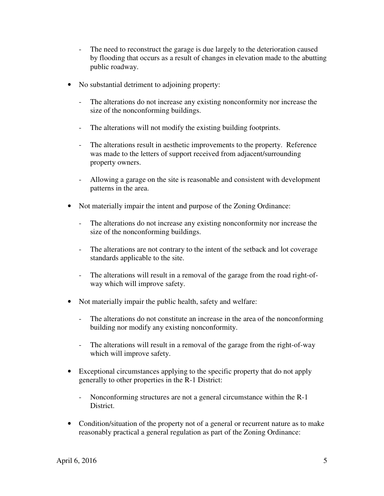- The need to reconstruct the garage is due largely to the deterioration caused by flooding that occurs as a result of changes in elevation made to the abutting public roadway.
- • No substantial detriment to adjoining property:
	- - The alterations do not increase any existing nonconformity nor increase the size of the nonconforming buildings.
	- The alterations will not modify the existing building footprints.
	- - The alterations result in aesthetic improvements to the property. Reference was made to the letters of support received from adjacent/surrounding property owners.
	- - Allowing a garage on the site is reasonable and consistent with development patterns in the area.
- • Not materially impair the intent and purpose of the Zoning Ordinance:
	- - The alterations do not increase any existing nonconformity nor increase the size of the nonconforming buildings.
	- The alterations are not contrary to the intent of the setback and lot coverage standards applicable to the site.
	- The alterations will result in a removal of the garage from the road right-of-way which will improve safety.
- • Not materially impair the public health, safety and welfare:
	- - The alterations do not constitute an increase in the area of the nonconforming building nor modify any existing nonconformity.
	- - The alterations will result in a removal of the garage from the right-of-way which will improve safety.
- • Exceptional circumstances applying to the specific property that do not apply generally to other properties in the R-1 District:
	- - Nonconforming structures are not a general circumstance within the R-1 District.
- • Condition/situation of the property not of a general or recurrent nature as to make reasonably practical a general regulation as part of the Zoning Ordinance: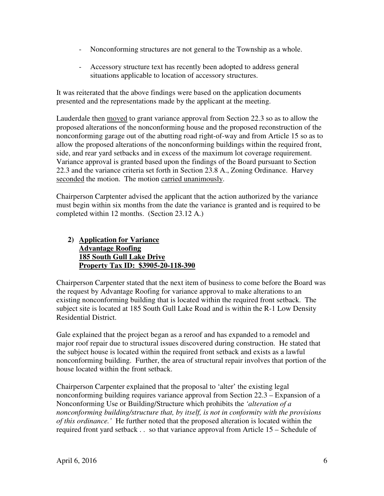- Nonconforming structures are not general to the Township as a whole.
- - Accessory structure text has recently been adopted to address general situations applicable to location of accessory structures.

 It was reiterated that the above findings were based on the application documents presented and the representations made by the applicant at the meeting.

Lauderdale then moved to grant variance approval from Section 22.3 so as to allow the proposed alterations of the nonconforming house and the proposed reconstruction of the nonconforming garage out of the abutting road right-of-way and from Article 15 so as to allow the proposed alterations of the nonconforming buildings within the required front, side, and rear yard setbacks and in excess of the maximum lot coverage requirement. Variance approval is granted based upon the findings of the Board pursuant to Section 22.3 and the variance criteria set forth in Section 23.8 A., Zoning Ordinance. Harvey seconded the motion. The motion carried unanimously.

 Chairperson Carptenter advised the applicant that the action authorized by the variance must begin within six months from the date the variance is granted and is required to be completed within 12 months. (Section 23.12 A.)

#### **2) Application for Variance Advantage Roofing 185 South Gull Lake Drive Property Tax ID: \$3905-20-118-390**

 Chairperson Carpenter stated that the next item of business to come before the Board was the request by Advantage Roofing for variance approval to make alterations to an existing nonconforming building that is located within the required front setback. The subject site is located at 185 South Gull Lake Road and is within the R-1 Low Density Residential District.

 Gale explained that the project began as a reroof and has expanded to a remodel and major roof repair due to structural issues discovered during construction. He stated that the subject house is located within the required front setback and exists as a lawful nonconforming building. Further, the area of structural repair involves that portion of the house located within the front setback.

 Chairperson Carpenter explained that the proposal to 'alter' the existing legal nonconforming building requires variance approval from Section 22.3 – Expansion of a Nonconforming Use or Building/Structure which prohibits the *'alteration of a nonconforming building/structure that, by itself, is not in conformity with the provisions of this ordinance.'* He further noted that the proposed alteration is located within the required front yard setback . . so that variance approval from Article 15 – Schedule of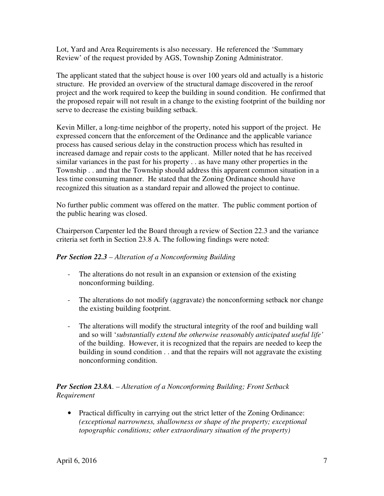Lot, Yard and Area Requirements is also necessary. He referenced the 'Summary Review' of the request provided by AGS, Township Zoning Administrator.

 The applicant stated that the subject house is over 100 years old and actually is a historic structure. He provided an overview of the structural damage discovered in the reroof project and the work required to keep the building in sound condition. He confirmed that the proposed repair will not result in a change to the existing footprint of the building nor serve to decrease the existing building setback.

 Kevin Miller, a long-time neighbor of the property, noted his support of the project. He expressed concern that the enforcement of the Ordinance and the applicable variance process has caused serious delay in the construction process which has resulted in increased damage and repair costs to the applicant. Miller noted that he has received similar variances in the past for his property . . as have many other properties in the Township . . and that the Township should address this apparent common situation in a less time consuming manner. He stated that the Zoning Ordinance should have recognized this situation as a standard repair and allowed the project to continue.

 No further public comment was offered on the matter. The public comment portion of the public hearing was closed.

 Chairperson Carpenter led the Board through a review of Section 22.3 and the variance criteria set forth in Section 23.8 A. The following findings were noted:

# *Per Section 22.3 – Alteration of a Nonconforming Building*

- - The alterations do not result in an expansion or extension of the existing nonconforming building.
- - The alterations do not modify (aggravate) the nonconforming setback nor change the existing building footprint.
- - The alterations will modify the structural integrity of the roof and building wall and so will '*substantially extend the otherwise reasonably anticipated useful life'*  of the building. However, it is recognized that the repairs are needed to keep the building in sound condition . . and that the repairs will not aggravate the existing nonconforming condition.

### *Per Section 23.8A. – Alteration of a Nonconforming Building; Front Setback Requirement*

 • Practical difficulty in carrying out the strict letter of the Zoning Ordinance:  *(exceptional narrowness, shallowness or shape of the property; exceptional topographic conditions; other extraordinary situation of the property)*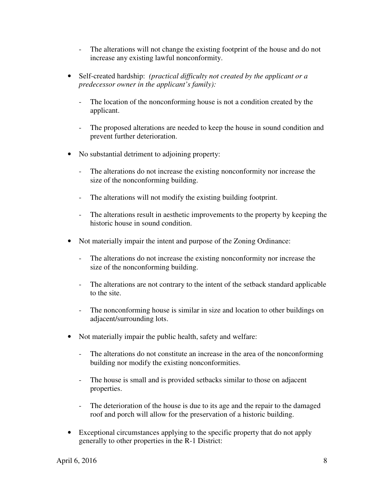- - The alterations will not change the existing footprint of the house and do not increase any existing lawful nonconformity.
- • Self-created hardship: *(practical difficulty not created by the applicant or a predecessor owner in the applicant's family):* 
	- - The location of the nonconforming house is not a condition created by the applicant.
	- - The proposed alterations are needed to keep the house in sound condition and prevent further deterioration.
- • No substantial detriment to adjoining property:
	- - The alterations do not increase the existing nonconformity nor increase the size of the nonconforming building.
	- The alterations will not modify the existing building footprint.
	- - The alterations result in aesthetic improvements to the property by keeping the historic house in sound condition.
- • Not materially impair the intent and purpose of the Zoning Ordinance:
	- - The alterations do not increase the existing nonconformity nor increase the size of the nonconforming building.
	- - The alterations are not contrary to the intent of the setback standard applicable to the site.
	- - The nonconforming house is similar in size and location to other buildings on adjacent/surrounding lots.
- • Not materially impair the public health, safety and welfare:
	- - The alterations do not constitute an increase in the area of the nonconforming building nor modify the existing nonconformities.
	- - The house is small and is provided setbacks similar to those on adjacent properties.
	- The deterioration of the house is due to its age and the repair to the damaged roof and porch will allow for the preservation of a historic building.
- • Exceptional circumstances applying to the specific property that do not apply generally to other properties in the R-1 District: